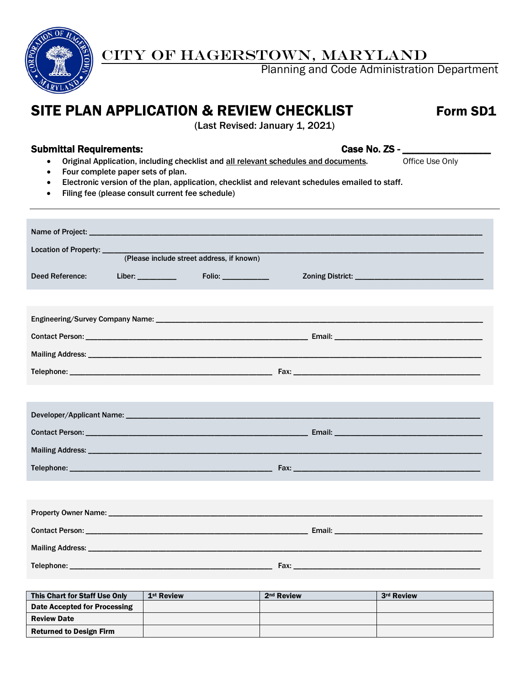

### CITY OF HAGERSTOWN, MARYLAND

Planning and Code Administration Department

### SITE PLAN APPLICATION & REVIEW CHECKLIST Form SD1

(Last Revised: January 1, 2021)

#### Submittal Requirements: Case No. ZS -

- Original Application, including checklist and all relevant schedules and documents. Office Use Only
- Four complete paper sets of plan.
- Electronic version of the plan, application, checklist and relevant schedules emailed to staff.
- Filing fee (please consult current fee schedule)

| Location of Property: _____     | (Please include street address, if known) |  |
|---------------------------------|-------------------------------------------|--|
|                                 |                                           |  |
| <b>Deed Reference:</b>          | Folio: __________                         |  |
|                                 |                                           |  |
|                                 |                                           |  |
|                                 |                                           |  |
|                                 |                                           |  |
|                                 |                                           |  |
|                                 |                                           |  |
|                                 |                                           |  |
|                                 |                                           |  |
|                                 |                                           |  |
|                                 |                                           |  |
|                                 |                                           |  |
|                                 |                                           |  |
|                                 |                                           |  |
| Mailing Address: ______________ |                                           |  |
|                                 |                                           |  |
|                                 |                                           |  |

| This Chart for Staff Use Only  | 1 <sup>st</sup> Review | 2 <sup>nd</sup> Review | 3rd Review |
|--------------------------------|------------------------|------------------------|------------|
| Date Accepted for Processing   |                        |                        |            |
| <b>Review Date</b>             |                        |                        |            |
| <b>Returned to Design Firm</b> |                        |                        |            |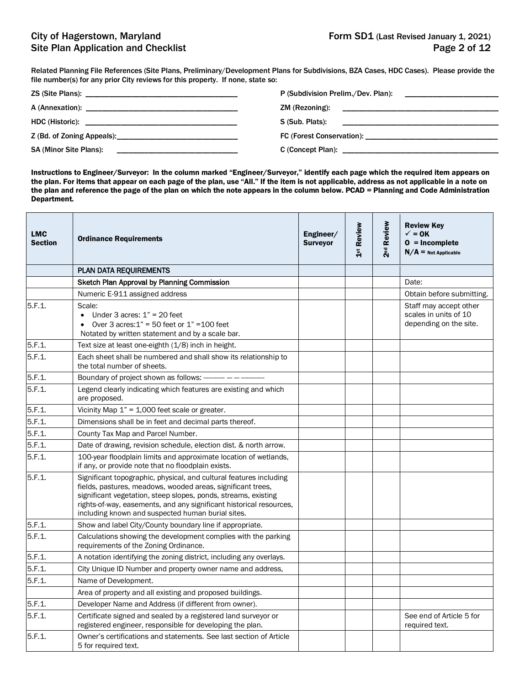Related Planning File References (Site Plans, Preliminary/Development Plans for Subdivisions, BZA Cases, HDC Cases). Please provide the file number(s) for any prior City reviews for this property. If none, state so:

|                                                                                                | P (Subdivision Prelim./Dev. Plan):                                                                            |
|------------------------------------------------------------------------------------------------|---------------------------------------------------------------------------------------------------------------|
|                                                                                                |                                                                                                               |
|                                                                                                | S (Sub. Plats): Example 2014 19:30 and 2014 19:30 and 2014 19:30 and 2014 19:30 and 2014 19:30 and 2014 19:30 |
| Z (Bd. of Zoning Appeals): 2014                                                                |                                                                                                               |
| <b>SA (Minor Site Plans):</b><br><u> 1980 - Johann Stein, mars an deutscher Stein († 1950)</u> |                                                                                                               |

Instructions to Engineer/Surveyor: In the column marked "Engineer/Surveyor," identify each page which the required item appears on the plan. For items that appear on each page of the plan, use "All." If the item is not applicable, address as not applicable in a note on the plan and reference the page of the plan on which the note appears in the column below. PCAD = Planning and Code Administration Department.

| <b>LMC</b><br><b>Section</b> | <b>Ordinance Requirements</b>                                                                                                                                                                                                                                                                                                   | Engineer/<br><b>Surveyor</b> | 1st Review | 2 <sup>nd</sup> Review | <b>Review Key</b><br>$\checkmark$ = 0K<br>$0 = Incomplete$<br>$N/A$ = Not Applicable |
|------------------------------|---------------------------------------------------------------------------------------------------------------------------------------------------------------------------------------------------------------------------------------------------------------------------------------------------------------------------------|------------------------------|------------|------------------------|--------------------------------------------------------------------------------------|
|                              | <b>PLAN DATA REQUIREMENTS</b>                                                                                                                                                                                                                                                                                                   |                              |            |                        |                                                                                      |
|                              | Sketch Plan Approval by Planning Commission                                                                                                                                                                                                                                                                                     |                              |            |                        | Date:                                                                                |
|                              | Numeric E-911 assigned address                                                                                                                                                                                                                                                                                                  |                              |            |                        | Obtain before submitting.                                                            |
| 5.F.1.                       | Scale:<br>• Under 3 acres: $1" = 20$ feet<br>• Over 3 acres: $1" = 50$ feet or $1" = 100$ feet<br>Notated by written statement and by a scale bar.                                                                                                                                                                              |                              |            |                        | Staff may accept other<br>scales in units of 10<br>depending on the site.            |
| 5.F.1.                       | Text size at least one-eighth (1/8) inch in height.                                                                                                                                                                                                                                                                             |                              |            |                        |                                                                                      |
| 5.F.1.                       | Each sheet shall be numbered and shall show its relationship to<br>the total number of sheets.                                                                                                                                                                                                                                  |                              |            |                        |                                                                                      |
| 5.F.1.                       | Boundary of project shown as follows: --------- - -------                                                                                                                                                                                                                                                                       |                              |            |                        |                                                                                      |
| 5.F.1.                       | Legend clearly indicating which features are existing and which<br>are proposed.                                                                                                                                                                                                                                                |                              |            |                        |                                                                                      |
| 5.F.1.                       | Vicinity Map $1" = 1,000$ feet scale or greater.                                                                                                                                                                                                                                                                                |                              |            |                        |                                                                                      |
| 5.F.1.                       | Dimensions shall be in feet and decimal parts thereof.                                                                                                                                                                                                                                                                          |                              |            |                        |                                                                                      |
| 5.F.1.                       | County Tax Map and Parcel Number.                                                                                                                                                                                                                                                                                               |                              |            |                        |                                                                                      |
| 5.F.1.                       | Date of drawing, revision schedule, election dist. & north arrow.                                                                                                                                                                                                                                                               |                              |            |                        |                                                                                      |
| 5.F.1.                       | 100-year floodplain limits and approximate location of wetlands,<br>if any, or provide note that no floodplain exists.                                                                                                                                                                                                          |                              |            |                        |                                                                                      |
| 5.F.1.                       | Significant topographic, physical, and cultural features including<br>fields, pastures, meadows, wooded areas, significant trees,<br>significant vegetation, steep slopes, ponds, streams, existing<br>rights-of-way, easements, and any significant historical resources,<br>including known and suspected human burial sites. |                              |            |                        |                                                                                      |
| 5.F.1.                       | Show and label City/County boundary line if appropriate.                                                                                                                                                                                                                                                                        |                              |            |                        |                                                                                      |
| 5.F.1.                       | Calculations showing the development complies with the parking<br>requirements of the Zoning Ordinance.                                                                                                                                                                                                                         |                              |            |                        |                                                                                      |
| 5.F.1.                       | A notation identifying the zoning district, including any overlays.                                                                                                                                                                                                                                                             |                              |            |                        |                                                                                      |
| 5.F.1.                       | City Unique ID Number and property owner name and address,                                                                                                                                                                                                                                                                      |                              |            |                        |                                                                                      |
| 5.F.1.                       | Name of Development.                                                                                                                                                                                                                                                                                                            |                              |            |                        |                                                                                      |
|                              | Area of property and all existing and proposed buildings.                                                                                                                                                                                                                                                                       |                              |            |                        |                                                                                      |
| 5.F.1.                       | Developer Name and Address (if different from owner).                                                                                                                                                                                                                                                                           |                              |            |                        |                                                                                      |
| 5.F.1.                       | Certificate signed and sealed by a registered land surveyor or<br>registered engineer, responsible for developing the plan.                                                                                                                                                                                                     |                              |            |                        | See end of Article 5 for<br>required text.                                           |
| 5.F.1.                       | Owner's certifications and statements. See last section of Article<br>5 for required text.                                                                                                                                                                                                                                      |                              |            |                        |                                                                                      |
|                              |                                                                                                                                                                                                                                                                                                                                 |                              |            |                        |                                                                                      |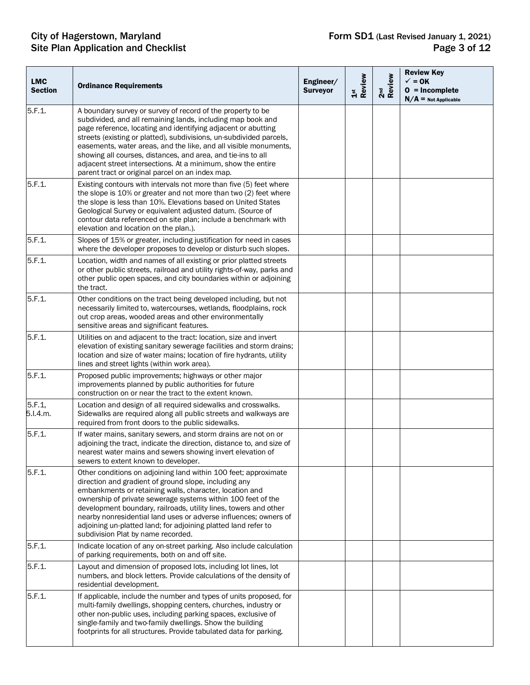| <b>LMC</b><br><b>Section</b> | <b>Ordinance Requirements</b>                                                                                                                                                                                                                                                                                                                                                                                                                                                                                              | Engineer/<br><b>Surveyor</b> | 1st<br>Review | 2 <sup>nd</sup><br>Review | <b>Review Key</b><br>$\checkmark$ = 0K<br>$0 = Incomplete$<br>$N/A$ = Not Applicable |
|------------------------------|----------------------------------------------------------------------------------------------------------------------------------------------------------------------------------------------------------------------------------------------------------------------------------------------------------------------------------------------------------------------------------------------------------------------------------------------------------------------------------------------------------------------------|------------------------------|---------------|---------------------------|--------------------------------------------------------------------------------------|
| 5.F.1.                       | A boundary survey or survey of record of the property to be<br>subdivided, and all remaining lands, including map book and<br>page reference, locating and identifying adjacent or abutting<br>streets (existing or platted), subdivisions, un-subdivided parcels,<br>easements, water areas, and the like, and all visible monuments,<br>showing all courses, distances, and area, and tie-ins to all<br>adjacent street intersections. At a minimum, show the entire<br>parent tract or original parcel on an index map. |                              |               |                           |                                                                                      |
| 5.F.1.                       | Existing contours with intervals not more than five (5) feet where<br>the slope is 10% or greater and not more than two (2) feet where<br>the slope is less than 10%. Elevations based on United States<br>Geological Survey or equivalent adjusted datum. (Source of<br>contour data referenced on site plan; include a benchmark with<br>elevation and location on the plan.).                                                                                                                                           |                              |               |                           |                                                                                      |
| 5.F.1.                       | Slopes of 15% or greater, including justification for need in cases<br>where the developer proposes to develop or disturb such slopes.                                                                                                                                                                                                                                                                                                                                                                                     |                              |               |                           |                                                                                      |
| 5.F.1.                       | Location, width and names of all existing or prior platted streets<br>or other public streets, railroad and utility rights-of-way, parks and<br>other public open spaces, and city boundaries within or adjoining<br>the tract.                                                                                                                                                                                                                                                                                            |                              |               |                           |                                                                                      |
| 5.F.1.                       | Other conditions on the tract being developed including, but not<br>necessarily limited to, watercourses, wetlands, floodplains, rock<br>out crop areas, wooded areas and other environmentally<br>sensitive areas and significant features.                                                                                                                                                                                                                                                                               |                              |               |                           |                                                                                      |
| 5.F.1.                       | Utilities on and adjacent to the tract: location, size and invert<br>elevation of existing sanitary sewerage facilities and storm drains;<br>location and size of water mains; location of fire hydrants, utility<br>lines and street lights (within work area).                                                                                                                                                                                                                                                           |                              |               |                           |                                                                                      |
| 5.F.1.                       | Proposed public improvements; highways or other major<br>improvements planned by public authorities for future<br>construction on or near the tract to the extent known.                                                                                                                                                                                                                                                                                                                                                   |                              |               |                           |                                                                                      |
| 5.F.1<br>5.I.4.m.            | Location and design of all required sidewalks and crosswalks.<br>Sidewalks are required along all public streets and walkways are<br>required from front doors to the public sidewalks.                                                                                                                                                                                                                                                                                                                                    |                              |               |                           |                                                                                      |
| 5.F.1.                       | If water mains, sanitary sewers, and storm drains are not on or<br>adjoining the tract, indicate the direction, distance to, and size of<br>nearest water mains and sewers showing invert elevation of<br>sewers to extent known to developer.                                                                                                                                                                                                                                                                             |                              |               |                           |                                                                                      |
| 5.F.1.                       | Other conditions on adjoining land within 100 feet; approximate<br>direction and gradient of ground slope, including any<br>embankments or retaining walls, character, location and<br>ownership of private sewerage systems within 100 feet of the<br>development boundary, railroads, utility lines, towers and other<br>nearby nonresidential land uses or adverse influences; owners of<br>adjoining un-platted land; for adjoining platted land refer to<br>subdivision Plat by name recorded.                        |                              |               |                           |                                                                                      |
| 5.F.1.                       | Indicate location of any on-street parking. Also include calculation<br>of parking requirements, both on and off site.                                                                                                                                                                                                                                                                                                                                                                                                     |                              |               |                           |                                                                                      |
| 5.F.1.                       | Layout and dimension of proposed lots, including lot lines, lot<br>numbers, and block letters. Provide calculations of the density of<br>residential development.                                                                                                                                                                                                                                                                                                                                                          |                              |               |                           |                                                                                      |
| 5.F.1.                       | If applicable, include the number and types of units proposed, for<br>multi-family dwellings, shopping centers, churches, industry or<br>other non-public uses, including parking spaces, exclusive of<br>single-family and two-family dwellings. Show the building<br>footprints for all structures. Provide tabulated data for parking.                                                                                                                                                                                  |                              |               |                           |                                                                                      |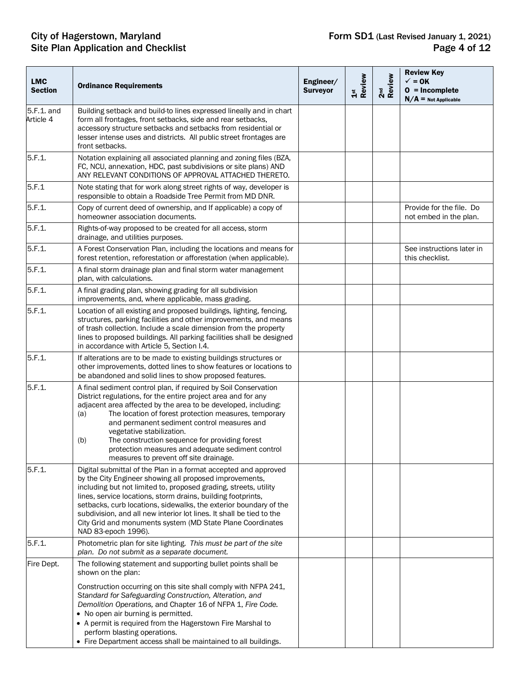| <b>LMC</b><br><b>Section</b> | <b>Ordinance Requirements</b>                                                                                                                                                                                                                                                                                                                                                                                                                                                                          | Engineer/<br><b>Surveyor</b> | 1st<br>Review | 2 <sup>nd</sup><br>Review | <b>Review Key</b><br>$\checkmark$ = 0K<br>$0 = Incomplete$<br>$N/A$ = Not Applicable |
|------------------------------|--------------------------------------------------------------------------------------------------------------------------------------------------------------------------------------------------------------------------------------------------------------------------------------------------------------------------------------------------------------------------------------------------------------------------------------------------------------------------------------------------------|------------------------------|---------------|---------------------------|--------------------------------------------------------------------------------------|
| 5.F.1. and<br>Article 4      | Building setback and build-to lines expressed lineally and in chart<br>form all frontages, front setbacks, side and rear setbacks,<br>accessory structure setbacks and setbacks from residential or<br>lesser intense uses and districts. All public street frontages are<br>front setbacks.                                                                                                                                                                                                           |                              |               |                           |                                                                                      |
| 5.F.1.                       | Notation explaining all associated planning and zoning files (BZA,<br>FC, NCU, annexation, HDC, past subdivisions or site plans) AND<br>ANY RELEVANT CONDITIONS OF APPROVAL ATTACHED THERETO.                                                                                                                                                                                                                                                                                                          |                              |               |                           |                                                                                      |
| 5.F.1                        | Note stating that for work along street rights of way, developer is<br>responsible to obtain a Roadside Tree Permit from MD DNR.                                                                                                                                                                                                                                                                                                                                                                       |                              |               |                           |                                                                                      |
| 5.F.1.                       | Copy of current deed of ownership, and If applicable) a copy of<br>homeowner association documents.                                                                                                                                                                                                                                                                                                                                                                                                    |                              |               |                           | Provide for the file. Do<br>not embed in the plan.                                   |
| 5.F.1.                       | Rights-of-way proposed to be created for all access, storm<br>drainage, and utilities purposes.                                                                                                                                                                                                                                                                                                                                                                                                        |                              |               |                           |                                                                                      |
| 5.F.1.                       | A Forest Conservation Plan, including the locations and means for<br>forest retention, reforestation or afforestation (when applicable).                                                                                                                                                                                                                                                                                                                                                               |                              |               |                           | See instructions later in<br>this checklist.                                         |
| 5.F.1.                       | A final storm drainage plan and final storm water management<br>plan, with calculations.                                                                                                                                                                                                                                                                                                                                                                                                               |                              |               |                           |                                                                                      |
| 5.F.1.                       | A final grading plan, showing grading for all subdivision<br>improvements, and, where applicable, mass grading.                                                                                                                                                                                                                                                                                                                                                                                        |                              |               |                           |                                                                                      |
| 5.F.1.                       | Location of all existing and proposed buildings, lighting, fencing,<br>structures, parking facilities and other improvements, and means<br>of trash collection. Include a scale dimension from the property<br>lines to proposed buildings. All parking facilities shall be designed<br>in accordance with Article 5, Section I.4.                                                                                                                                                                     |                              |               |                           |                                                                                      |
| 5.F.1.                       | If alterations are to be made to existing buildings structures or<br>other improvements, dotted lines to show features or locations to<br>be abandoned and solid lines to show proposed features.                                                                                                                                                                                                                                                                                                      |                              |               |                           |                                                                                      |
| 5.F.1.                       | A final sediment control plan, if required by Soil Conservation<br>District regulations, for the entire project area and for any<br>adjacent area affected by the area to be developed, including:<br>The location of forest protection measures, temporary<br>(a)<br>and permanent sediment control measures and<br>vegetative stabilization.<br>The construction sequence for providing forest<br>(b)<br>protection measures and adequate sediment control<br>measures to prevent off site drainage. |                              |               |                           |                                                                                      |
| 5.F.1.                       | Digital submittal of the Plan in a format accepted and approved<br>by the City Engineer showing all proposed improvements,<br>including but not limited to, proposed grading, streets, utility<br>lines, service locations, storm drains, building footprints,<br>setbacks, curb locations, sidewalks, the exterior boundary of the<br>subdivision, and all new interior lot lines. It shall be tied to the<br>City Grid and monuments system (MD State Plane Coordinates<br>NAD 83-epoch 1996).       |                              |               |                           |                                                                                      |
| 5.F.1.                       | Photometric plan for site lighting. This must be part of the site<br>plan. Do not submit as a separate document.                                                                                                                                                                                                                                                                                                                                                                                       |                              |               |                           |                                                                                      |
| Fire Dept.                   | The following statement and supporting bullet points shall be<br>shown on the plan:                                                                                                                                                                                                                                                                                                                                                                                                                    |                              |               |                           |                                                                                      |
|                              | Construction occurring on this site shall comply with NFPA 241,<br>Standard for Safeguarding Construction, Alteration, and<br>Demolition Operations, and Chapter 16 of NFPA 1, Fire Code.<br>• No open air burning is permitted.<br>• A permit is required from the Hagerstown Fire Marshal to<br>perform blasting operations.<br>• Fire Department access shall be maintained to all buildings.                                                                                                       |                              |               |                           |                                                                                      |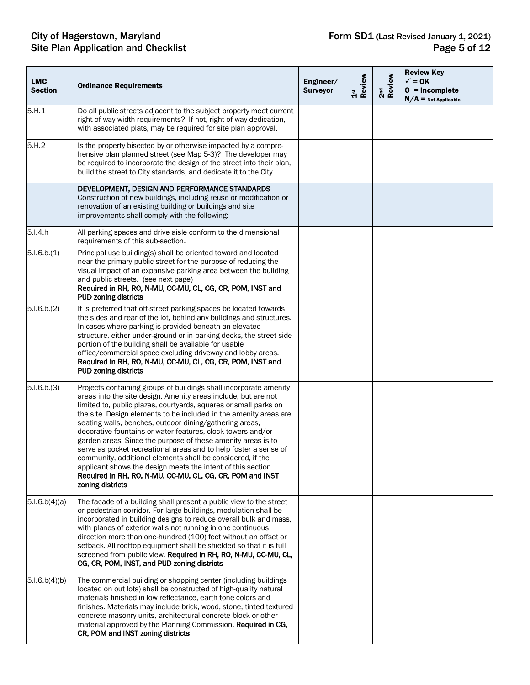| <b>LMC</b><br><b>Section</b> | <b>Ordinance Requirements</b>                                                                                                                                                                                                                                                                                                                                                                                                                                                                                                                                                                                                                                                                                                                             | Engineer/<br><b>Surveyor</b> | 1st<br>Review | 2 <sup>nd</sup><br>Review | <b>Review Key</b><br>$\checkmark$ = 0K<br>$0 = Incomplete$<br>$N/A$ = Not Applicable |
|------------------------------|-----------------------------------------------------------------------------------------------------------------------------------------------------------------------------------------------------------------------------------------------------------------------------------------------------------------------------------------------------------------------------------------------------------------------------------------------------------------------------------------------------------------------------------------------------------------------------------------------------------------------------------------------------------------------------------------------------------------------------------------------------------|------------------------------|---------------|---------------------------|--------------------------------------------------------------------------------------|
| 5.H.1                        | Do all public streets adjacent to the subject property meet current<br>right of way width requirements? If not, right of way dedication,<br>with associated plats, may be required for site plan approval.                                                                                                                                                                                                                                                                                                                                                                                                                                                                                                                                                |                              |               |                           |                                                                                      |
| 5.H.2                        | Is the property bisected by or otherwise impacted by a compre-<br>hensive plan planned street (see Map 5-3)? The developer may<br>be required to incorporate the design of the street into their plan,<br>build the street to City standards, and dedicate it to the City.                                                                                                                                                                                                                                                                                                                                                                                                                                                                                |                              |               |                           |                                                                                      |
|                              | DEVELOPMENT, DESIGN AND PERFORMANCE STANDARDS<br>Construction of new buildings, including reuse or modification or<br>renovation of an existing building or buildings and site<br>improvements shall comply with the following:                                                                                                                                                                                                                                                                                                                                                                                                                                                                                                                           |                              |               |                           |                                                                                      |
| 5.I.4.h                      | All parking spaces and drive aisle conform to the dimensional<br>requirements of this sub-section.                                                                                                                                                                                                                                                                                                                                                                                                                                                                                                                                                                                                                                                        |                              |               |                           |                                                                                      |
| 5.1.6.b.(1)                  | Principal use building(s) shall be oriented toward and located<br>near the primary public street for the purpose of reducing the<br>visual impact of an expansive parking area between the building<br>and public streets. (see next page)<br>Required in RH, RO, N-MU, CC-MU, CL, CG, CR, POM, INST and<br><b>PUD zoning districts</b>                                                                                                                                                                                                                                                                                                                                                                                                                   |                              |               |                           |                                                                                      |
| 5.1.6.b.(2)                  | It is preferred that off-street parking spaces be located towards<br>the sides and rear of the lot, behind any buildings and structures.<br>In cases where parking is provided beneath an elevated<br>structure, either under-ground or in parking decks, the street side<br>portion of the building shall be available for usable<br>office/commercial space excluding driveway and lobby areas.<br>Required in RH, RO, N-MU, CC-MU, CL, CG, CR, POM, INST and<br>PUD zoning districts                                                                                                                                                                                                                                                                   |                              |               |                           |                                                                                      |
| 5.1.6.b.(3)                  | Projects containing groups of buildings shall incorporate amenity<br>areas into the site design. Amenity areas include, but are not<br>limited to, public plazas, courtyards, squares or small parks on<br>the site. Design elements to be included in the amenity areas are<br>seating walls, benches, outdoor dining/gathering areas,<br>decorative fountains or water features, clock towers and/or<br>garden areas. Since the purpose of these amenity areas is to<br>serve as pocket recreational areas and to help foster a sense of<br>community, additional elements shall be considered, if the<br>applicant shows the design meets the intent of this section.<br>Required in RH, RO, N-MU, CC-MU, CL, CG, CR, POM and INST<br>zoning districts |                              |               |                           |                                                                                      |
| 5.1.6.b(4)(a)                | The facade of a building shall present a public view to the street<br>or pedestrian corridor. For large buildings, modulation shall be<br>incorporated in building designs to reduce overall bulk and mass,<br>with planes of exterior walls not running in one continuous<br>direction more than one-hundred (100) feet without an offset or<br>setback. All rooftop equipment shall be shielded so that it is full<br>screened from public view. Required in RH, RO, N-MU, CC-MU, CL,<br>CG, CR, POM, INST, and PUD zoning districts                                                                                                                                                                                                                    |                              |               |                           |                                                                                      |
| 5.1.6.b(4)(b)                | The commercial building or shopping center (including buildings<br>located on out lots) shall be constructed of high-quality natural<br>materials finished in low reflectance, earth tone colors and<br>finishes. Materials may include brick, wood, stone, tinted textured<br>concrete masonry units, architectural concrete block or other<br>material approved by the Planning Commission. Required in CG,<br>CR, POM and INST zoning districts                                                                                                                                                                                                                                                                                                        |                              |               |                           |                                                                                      |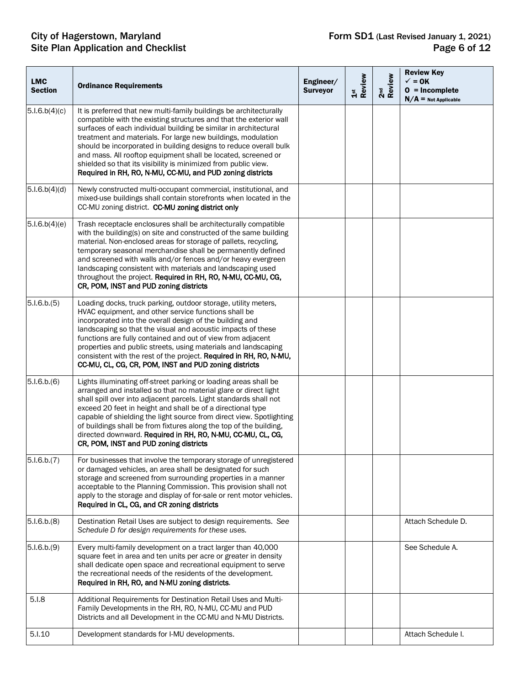| <b>LMC</b><br><b>Section</b> | <b>Ordinance Requirements</b>                                                                                                                                                                                                                                                                                                                                                                                                                                                                                                                     | Engineer/<br><b>Surveyor</b> | 1st<br>Review | 2 <sup>nd</sup><br>Review | <b>Review Key</b><br>$\checkmark$ = 0K<br>$0 = Incomplete$<br>$N/A$ = Not Applicable |
|------------------------------|---------------------------------------------------------------------------------------------------------------------------------------------------------------------------------------------------------------------------------------------------------------------------------------------------------------------------------------------------------------------------------------------------------------------------------------------------------------------------------------------------------------------------------------------------|------------------------------|---------------|---------------------------|--------------------------------------------------------------------------------------|
| 5.1.6.b(4)(c)                | It is preferred that new multi-family buildings be architecturally<br>compatible with the existing structures and that the exterior wall<br>surfaces of each individual building be similar in architectural<br>treatment and materials. For large new buildings, modulation<br>should be incorporated in building designs to reduce overall bulk<br>and mass. All rooftop equipment shall be located, screened or<br>shielded so that its visibility is minimized from public view.<br>Required in RH, RO, N-MU, CC-MU, and PUD zoning districts |                              |               |                           |                                                                                      |
| 5.1.6.b(4)(d)                | Newly constructed multi-occupant commercial, institutional, and<br>mixed-use buildings shall contain storefronts when located in the<br>CC-MU zoning district. CC-MU zoning district only                                                                                                                                                                                                                                                                                                                                                         |                              |               |                           |                                                                                      |
| 5.1.6.b(4)(e)                | Trash receptacle enclosures shall be architecturally compatible<br>with the building(s) on site and constructed of the same building<br>material. Non-enclosed areas for storage of pallets, recycling,<br>temporary seasonal merchandise shall be permanently defined<br>and screened with walls and/or fences and/or heavy evergreen<br>landscaping consistent with materials and landscaping used<br>throughout the project. Required in RH, RO, N-MU, CC-MU, CG,<br>CR, POM, INST and PUD zoning districts                                    |                              |               |                           |                                                                                      |
| 5.1.6.b.(5)                  | Loading docks, truck parking, outdoor storage, utility meters,<br>HVAC equipment, and other service functions shall be<br>incorporated into the overall design of the building and<br>landscaping so that the visual and acoustic impacts of these<br>functions are fully contained and out of view from adjacent<br>properties and public streets, using materials and landscaping<br>consistent with the rest of the project. Required in RH, RO, N-MU,<br>CC-MU, CL, CG, CR, POM, INST and PUD zoning districts                                |                              |               |                           |                                                                                      |
| 5.1.6.b.(6)                  | Lights illuminating off-street parking or loading areas shall be<br>arranged and installed so that no material glare or direct light<br>shall spill over into adjacent parcels. Light standards shall not<br>exceed 20 feet in height and shall be of a directional type<br>capable of shielding the light source from direct view. Spotlighting<br>of buildings shall be from fixtures along the top of the building,<br>directed downward. Required in RH, RO, N-MU, CC-MU, CL, CG,<br>CR, POM, INST and PUD zoning districts                   |                              |               |                           |                                                                                      |
| 5.1.6.b.(7)                  | For businesses that involve the temporary storage of unregistered<br>or damaged vehicles, an area shall be designated for such<br>storage and screened from surrounding properties in a manner<br>acceptable to the Planning Commission. This provision shall not<br>apply to the storage and display of for-sale or rent motor vehicles.<br>Required in CL, CG, and CR zoning districts                                                                                                                                                          |                              |               |                           |                                                                                      |
| 5.1.6.b.(8)                  | Destination Retail Uses are subject to design requirements. See<br>Schedule D for design requirements for these uses.                                                                                                                                                                                                                                                                                                                                                                                                                             |                              |               |                           | Attach Schedule D.                                                                   |
| 5.1.6.b.(9)                  | Every multi-family development on a tract larger than 40,000<br>square feet in area and ten units per acre or greater in density<br>shall dedicate open space and recreational equipment to serve<br>the recreational needs of the residents of the development.<br>Required in RH, RO, and N-MU zoning districts.                                                                                                                                                                                                                                |                              |               |                           | See Schedule A.                                                                      |
| 5.I.8                        | Additional Requirements for Destination Retail Uses and Multi-<br>Family Developments in the RH, RO, N-MU, CC-MU and PUD<br>Districts and all Development in the CC-MU and N-MU Districts.                                                                                                                                                                                                                                                                                                                                                        |                              |               |                           |                                                                                      |
| 5.I.10                       | Development standards for I-MU developments.                                                                                                                                                                                                                                                                                                                                                                                                                                                                                                      |                              |               |                           | Attach Schedule I.                                                                   |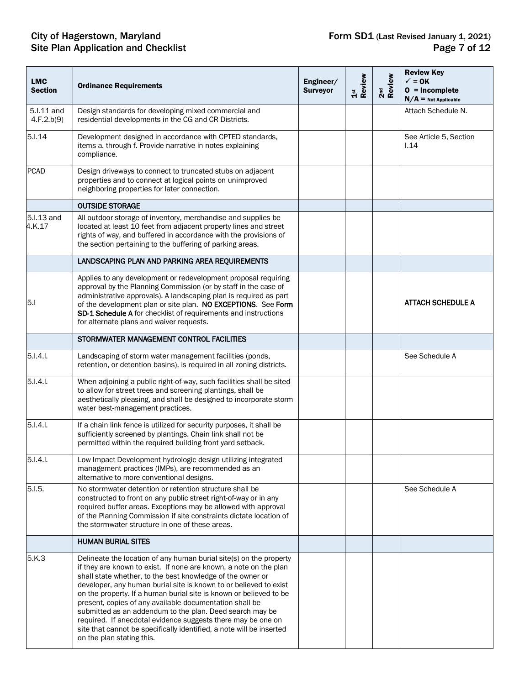| <b>LMC</b><br><b>Section</b> | <b>Ordinance Requirements</b>                                                                                                                                                                                                                                                                                                                                                                                                                                                                                                                                                                                                                | Engineer/<br><b>Surveyor</b> | 1st<br>Review | 2 <sup>nd</sup><br>Review | <b>Review Key</b><br>$\checkmark$ = 0K<br>$0 = Incomplete$<br>$N/A$ = Not Applicable |
|------------------------------|----------------------------------------------------------------------------------------------------------------------------------------------------------------------------------------------------------------------------------------------------------------------------------------------------------------------------------------------------------------------------------------------------------------------------------------------------------------------------------------------------------------------------------------------------------------------------------------------------------------------------------------------|------------------------------|---------------|---------------------------|--------------------------------------------------------------------------------------|
| 5.I.11 and<br>4.F.2.b(9)     | Design standards for developing mixed commercial and<br>residential developments in the CG and CR Districts.                                                                                                                                                                                                                                                                                                                                                                                                                                                                                                                                 |                              |               |                           | Attach Schedule N.                                                                   |
| 5.I.14                       | Development designed in accordance with CPTED standards,<br>items a. through f. Provide narrative in notes explaining<br>compliance.                                                                                                                                                                                                                                                                                                                                                                                                                                                                                                         |                              |               |                           | See Article 5, Section<br>1.14                                                       |
| <b>PCAD</b>                  | Design driveways to connect to truncated stubs on adjacent<br>properties and to connect at logical points on unimproved<br>neighboring properties for later connection.                                                                                                                                                                                                                                                                                                                                                                                                                                                                      |                              |               |                           |                                                                                      |
|                              | <b>OUTSIDE STORAGE</b>                                                                                                                                                                                                                                                                                                                                                                                                                                                                                                                                                                                                                       |                              |               |                           |                                                                                      |
| 5.I.13 and<br>4.K.17         | All outdoor storage of inventory, merchandise and supplies be<br>located at least 10 feet from adjacent property lines and street<br>rights of way, and buffered in accordance with the provisions of<br>the section pertaining to the buffering of parking areas.                                                                                                                                                                                                                                                                                                                                                                           |                              |               |                           |                                                                                      |
|                              | LANDSCAPING PLAN AND PARKING AREA REQUIREMENTS                                                                                                                                                                                                                                                                                                                                                                                                                                                                                                                                                                                               |                              |               |                           |                                                                                      |
| 5.1                          | Applies to any development or redevelopment proposal requiring<br>approval by the Planning Commission (or by staff in the case of<br>administrative approvals). A landscaping plan is required as part<br>of the development plan or site plan. NO EXCEPTIONS. See Form<br>SD-1 Schedule A for checklist of requirements and instructions<br>for alternate plans and waiver requests.                                                                                                                                                                                                                                                        |                              |               |                           | <b>ATTACH SCHEDULE A</b>                                                             |
|                              | STORMWATER MANAGEMENT CONTROL FACILITIES                                                                                                                                                                                                                                                                                                                                                                                                                                                                                                                                                                                                     |                              |               |                           |                                                                                      |
| $5.1.4.1$ .                  | Landscaping of storm water management facilities (ponds,<br>retention, or detention basins), is required in all zoning districts.                                                                                                                                                                                                                                                                                                                                                                                                                                                                                                            |                              |               |                           | See Schedule A                                                                       |
| $5.1.4.1$ .                  | When adjoining a public right-of-way, such facilities shall be sited<br>to allow for street trees and screening plantings, shall be<br>aesthetically pleasing, and shall be designed to incorporate storm<br>water best-management practices.                                                                                                                                                                                                                                                                                                                                                                                                |                              |               |                           |                                                                                      |
| 5.1.4.1                      | If a chain link fence is utilized for security purposes, it shall be<br>sufficiently screened by plantings. Chain link shall not be<br>permitted within the required building front yard setback.                                                                                                                                                                                                                                                                                                                                                                                                                                            |                              |               |                           |                                                                                      |
| 5.I.4.I.                     | Low Impact Development hydrologic design utilizing integrated<br>management practices (IMPs), are recommended as an<br>alternative to more conventional designs.                                                                                                                                                                                                                                                                                                                                                                                                                                                                             |                              |               |                           |                                                                                      |
| 5.1.5.                       | No stormwater detention or retention structure shall be<br>constructed to front on any public street right-of-way or in any<br>required buffer areas. Exceptions may be allowed with approval<br>of the Planning Commission if site constraints dictate location of<br>the stormwater structure in one of these areas.                                                                                                                                                                                                                                                                                                                       |                              |               |                           | See Schedule A                                                                       |
|                              | <b>HUMAN BURIAL SITES</b>                                                                                                                                                                                                                                                                                                                                                                                                                                                                                                                                                                                                                    |                              |               |                           |                                                                                      |
| 5.K.3                        | Delineate the location of any human burial site(s) on the property<br>if they are known to exist. If none are known, a note on the plan<br>shall state whether, to the best knowledge of the owner or<br>developer, any human burial site is known to or believed to exist<br>on the property. If a human burial site is known or believed to be<br>present, copies of any available documentation shall be<br>submitted as an addendum to the plan. Deed search may be<br>required. If anecdotal evidence suggests there may be one on<br>site that cannot be specifically identified, a note will be inserted<br>on the plan stating this. |                              |               |                           |                                                                                      |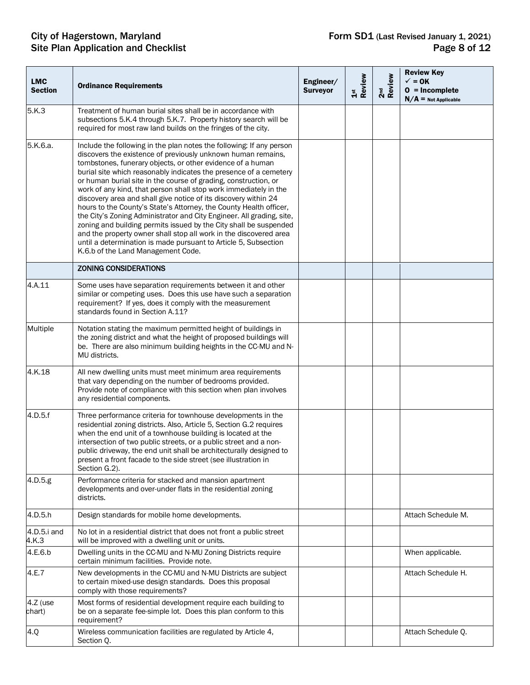| <b>LMC</b><br><b>Section</b> | <b>Ordinance Requirements</b>                                                                                                                                                                                                                                                                                                                                                                                                                                                                                                                                                                                                                                                                                                                                                                                                                                                       | Engineer/<br><b>Surveyor</b> | 1st<br>Review | 2 <sup>nd</sup><br>Review | <b>Review Key</b><br>$\checkmark$ = 0K<br>$0 = Incomplete$<br>$N/A$ = Not Applicable |
|------------------------------|-------------------------------------------------------------------------------------------------------------------------------------------------------------------------------------------------------------------------------------------------------------------------------------------------------------------------------------------------------------------------------------------------------------------------------------------------------------------------------------------------------------------------------------------------------------------------------------------------------------------------------------------------------------------------------------------------------------------------------------------------------------------------------------------------------------------------------------------------------------------------------------|------------------------------|---------------|---------------------------|--------------------------------------------------------------------------------------|
| 5.K.3                        | Treatment of human burial sites shall be in accordance with<br>subsections 5.K.4 through 5.K.7. Property history search will be<br>required for most raw land builds on the fringes of the city.                                                                                                                                                                                                                                                                                                                                                                                                                                                                                                                                                                                                                                                                                    |                              |               |                           |                                                                                      |
| 5.K.6.a.                     | Include the following in the plan notes the following: If any person<br>discovers the existence of previously unknown human remains,<br>tombstones, funerary objects, or other evidence of a human<br>burial site which reasonably indicates the presence of a cemetery<br>or human burial site in the course of grading, construction, or<br>work of any kind, that person shall stop work immediately in the<br>discovery area and shall give notice of its discovery within 24<br>hours to the County's State's Attorney, the County Health officer,<br>the City's Zoning Administrator and City Engineer. All grading, site,<br>zoning and building permits issued by the City shall be suspended<br>and the property owner shall stop all work in the discovered area<br>until a determination is made pursuant to Article 5, Subsection<br>K.6.b of the Land Management Code. |                              |               |                           |                                                                                      |
|                              | <b>ZONING CONSIDERATIONS</b>                                                                                                                                                                                                                                                                                                                                                                                                                                                                                                                                                                                                                                                                                                                                                                                                                                                        |                              |               |                           |                                                                                      |
| 4.A.11                       | Some uses have separation requirements between it and other<br>similar or competing uses. Does this use have such a separation<br>requirement? If yes, does it comply with the measurement<br>standards found in Section A.11?                                                                                                                                                                                                                                                                                                                                                                                                                                                                                                                                                                                                                                                      |                              |               |                           |                                                                                      |
| Multiple                     | Notation stating the maximum permitted height of buildings in<br>the zoning district and what the height of proposed buildings will<br>be. There are also minimum building heights in the CC-MU and N-<br>MU districts.                                                                                                                                                                                                                                                                                                                                                                                                                                                                                                                                                                                                                                                             |                              |               |                           |                                                                                      |
| 4.K.18                       | All new dwelling units must meet minimum area requirements<br>that vary depending on the number of bedrooms provided.<br>Provide note of compliance with this section when plan involves<br>any residential components.                                                                                                                                                                                                                                                                                                                                                                                                                                                                                                                                                                                                                                                             |                              |               |                           |                                                                                      |
| 4.D.5.f                      | Three performance criteria for townhouse developments in the<br>residential zoning districts. Also, Article 5, Section G.2 requires<br>when the end unit of a townhouse building is located at the<br>intersection of two public streets, or a public street and a non-<br>public driveway, the end unit shall be architecturally designed to<br>present a front facade to the side street (see illustration in<br>Section G.2).                                                                                                                                                                                                                                                                                                                                                                                                                                                    |                              |               |                           |                                                                                      |
| 4.D.5.g                      | Performance criteria for stacked and mansion apartment<br>developments and over-under flats in the residential zoning<br>districts.                                                                                                                                                                                                                                                                                                                                                                                                                                                                                                                                                                                                                                                                                                                                                 |                              |               |                           |                                                                                      |
| 4.D.5.h                      | Design standards for mobile home developments.                                                                                                                                                                                                                                                                                                                                                                                                                                                                                                                                                                                                                                                                                                                                                                                                                                      |                              |               |                           | Attach Schedule M.                                                                   |
| 4.D.5.i and<br>4.K.3         | No lot in a residential district that does not front a public street<br>will be improved with a dwelling unit or units.                                                                                                                                                                                                                                                                                                                                                                                                                                                                                                                                                                                                                                                                                                                                                             |                              |               |                           |                                                                                      |
| 4.E.6.b                      | Dwelling units in the CC-MU and N-MU Zoning Districts require<br>certain minimum facilities. Provide note.                                                                                                                                                                                                                                                                                                                                                                                                                                                                                                                                                                                                                                                                                                                                                                          |                              |               |                           | When applicable.                                                                     |
| 4.E.7                        | New developments in the CC-MU and N-MU Districts are subject<br>to certain mixed-use design standards. Does this proposal<br>comply with those requirements?                                                                                                                                                                                                                                                                                                                                                                                                                                                                                                                                                                                                                                                                                                                        |                              |               |                           | Attach Schedule H.                                                                   |
| 4.Z (use<br>chart)           | Most forms of residential development require each building to<br>be on a separate fee-simple lot. Does this plan conform to this<br>requirement?                                                                                                                                                                                                                                                                                                                                                                                                                                                                                                                                                                                                                                                                                                                                   |                              |               |                           |                                                                                      |
| 4.Q                          | Wireless communication facilities are regulated by Article 4,<br>Section Q.                                                                                                                                                                                                                                                                                                                                                                                                                                                                                                                                                                                                                                                                                                                                                                                                         |                              |               |                           | Attach Schedule Q.                                                                   |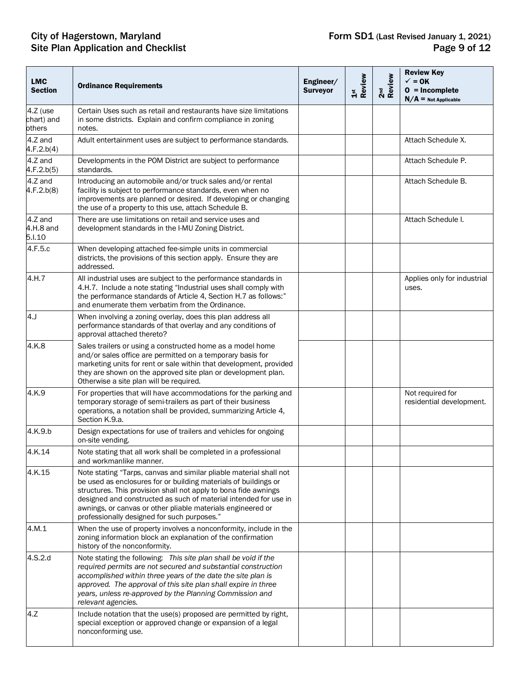| <b>LMC</b><br><b>Section</b>     | <b>Ordinance Requirements</b>                                                                                                                                                                                                                                                                                                                                                              | Engineer/<br><b>Surveyor</b> | 1st<br>Review | 2 <sup>nd</sup><br>Review | <b>Review Key</b><br>$\checkmark$ = 0K<br>$0 = Incomplete$<br>$N/A$ = Not Applicable |
|----------------------------------|--------------------------------------------------------------------------------------------------------------------------------------------------------------------------------------------------------------------------------------------------------------------------------------------------------------------------------------------------------------------------------------------|------------------------------|---------------|---------------------------|--------------------------------------------------------------------------------------|
| 4.Z (use<br>chart) and<br>others | Certain Uses such as retail and restaurants have size limitations<br>in some districts. Explain and confirm compliance in zoning<br>notes.                                                                                                                                                                                                                                                 |                              |               |                           |                                                                                      |
| 4.Z and<br>4.F.2.b(4)            | Adult entertainment uses are subject to performance standards.                                                                                                                                                                                                                                                                                                                             |                              |               |                           | Attach Schedule X.                                                                   |
| 4.Z and<br>4.F.2.b(5)            | Developments in the POM District are subject to performance<br>standards.                                                                                                                                                                                                                                                                                                                  |                              |               |                           | Attach Schedule P.                                                                   |
| 4.Z and<br>4.F.2.b(8)            | Introducing an automobile and/or truck sales and/or rental<br>facility is subject to performance standards, even when no<br>improvements are planned or desired. If developing or changing<br>the use of a property to this use, attach Schedule B.                                                                                                                                        |                              |               |                           | Attach Schedule B.                                                                   |
| 4.Z and<br>4.H.8 and<br>5.I.10   | There are use limitations on retail and service uses and<br>development standards in the I-MU Zoning District.                                                                                                                                                                                                                                                                             |                              |               |                           | Attach Schedule I.                                                                   |
| 4.F.5.c                          | When developing attached fee-simple units in commercial<br>districts, the provisions of this section apply. Ensure they are<br>addressed.                                                                                                                                                                                                                                                  |                              |               |                           |                                                                                      |
| 4.H.7                            | All industrial uses are subject to the performance standards in<br>4.H.7. Include a note stating "Industrial uses shall comply with<br>the performance standards of Article 4, Section H.7 as follows:"<br>and enumerate them verbatim from the Ordinance.                                                                                                                                 |                              |               |                           | Applies only for industrial<br>uses.                                                 |
| 4.                               | When involving a zoning overlay, does this plan address all<br>performance standards of that overlay and any conditions of<br>approval attached thereto?                                                                                                                                                                                                                                   |                              |               |                           |                                                                                      |
| 4.K.8                            | Sales trailers or using a constructed home as a model home<br>and/or sales office are permitted on a temporary basis for<br>marketing units for rent or sale within that development, provided<br>they are shown on the approved site plan or development plan.<br>Otherwise a site plan will be required.                                                                                 |                              |               |                           |                                                                                      |
| 4.K.9                            | For properties that will have accommodations for the parking and<br>temporary storage of semi-trailers as part of their business<br>operations, a notation shall be provided, summarizing Article 4,<br>Section K.9.a.                                                                                                                                                                     |                              |               |                           | Not required for<br>residential development.                                         |
| 4.K.9.b                          | Design expectations for use of trailers and vehicles for ongoing<br>on-site vending.                                                                                                                                                                                                                                                                                                       |                              |               |                           |                                                                                      |
| 4.K.14                           | Note stating that all work shall be completed in a professional<br>and workmanlike manner.                                                                                                                                                                                                                                                                                                 |                              |               |                           |                                                                                      |
| 4.K.15                           | Note stating "Tarps, canvas and similar pliable material shall not<br>be used as enclosures for or building materials of buildings or<br>structures. This provision shall not apply to bona fide awnings<br>designed and constructed as such of material intended for use in<br>awnings, or canvas or other pliable materials engineered or<br>professionally designed for such purposes." |                              |               |                           |                                                                                      |
| 4.M.1                            | When the use of property involves a nonconformity, include in the<br>zoning information block an explanation of the confirmation<br>history of the nonconformity.                                                                                                                                                                                                                          |                              |               |                           |                                                                                      |
| 4.S.2.d                          | Note stating the following: This site plan shall be void if the<br>required permits are not secured and substantial construction<br>accomplished within three years of the date the site plan is<br>approved. The approval of this site plan shall expire in three<br>years, unless re-approved by the Planning Commission and<br>relevant agencies.                                       |                              |               |                           |                                                                                      |
| 4.Z                              | Include notation that the use(s) proposed are permitted by right,<br>special exception or approved change or expansion of a legal<br>nonconforming use.                                                                                                                                                                                                                                    |                              |               |                           |                                                                                      |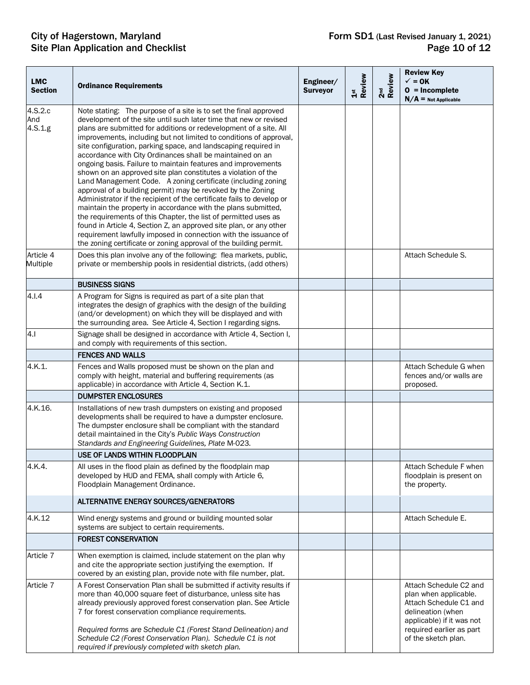| <b>LMC</b><br><b>Section</b> | <b>Ordinance Requirements</b>                                                                                                                                                                                                                                                                                                                                                                                                                                                                                                                                                                                                                                                                                                                                                                                                                                                                                                                                                                                                                                                                              | Engineer/<br><b>Surveyor</b> | 1st<br>Review | 2 <sup>nd</sup><br>Review | <b>Review Key</b><br>$\checkmark$ = 0K<br>$0 = Incomplete$<br>$N/A$ = Not Applicable                                                                                           |
|------------------------------|------------------------------------------------------------------------------------------------------------------------------------------------------------------------------------------------------------------------------------------------------------------------------------------------------------------------------------------------------------------------------------------------------------------------------------------------------------------------------------------------------------------------------------------------------------------------------------------------------------------------------------------------------------------------------------------------------------------------------------------------------------------------------------------------------------------------------------------------------------------------------------------------------------------------------------------------------------------------------------------------------------------------------------------------------------------------------------------------------------|------------------------------|---------------|---------------------------|--------------------------------------------------------------------------------------------------------------------------------------------------------------------------------|
| 4.S.2.c<br>And<br>4.S.1.g    | Note stating: The purpose of a site is to set the final approved<br>development of the site until such later time that new or revised<br>plans are submitted for additions or redevelopment of a site. All<br>improvements, including but not limited to conditions of approval,<br>site configuration, parking space, and landscaping required in<br>accordance with City Ordinances shall be maintained on an<br>ongoing basis. Failure to maintain features and improvements<br>shown on an approved site plan constitutes a violation of the<br>Land Management Code. A zoning certificate (including zoning<br>approval of a building permit) may be revoked by the Zoning<br>Administrator if the recipient of the certificate fails to develop or<br>maintain the property in accordance with the plans submitted,<br>the requirements of this Chapter, the list of permitted uses as<br>found in Article 4, Section Z, an approved site plan, or any other<br>requirement lawfully imposed in connection with the issuance of<br>the zoning certificate or zoning approval of the building permit. |                              |               |                           |                                                                                                                                                                                |
| Article 4<br>Multiple        | Does this plan involve any of the following: flea markets, public,<br>private or membership pools in residential districts, (add others)                                                                                                                                                                                                                                                                                                                                                                                                                                                                                                                                                                                                                                                                                                                                                                                                                                                                                                                                                                   |                              |               |                           | Attach Schedule S.                                                                                                                                                             |
|                              | <b>BUSINESS SIGNS</b>                                                                                                                                                                                                                                                                                                                                                                                                                                                                                                                                                                                                                                                                                                                                                                                                                                                                                                                                                                                                                                                                                      |                              |               |                           |                                                                                                                                                                                |
| 4.1.4                        | A Program for Signs is required as part of a site plan that<br>integrates the design of graphics with the design of the building<br>(and/or development) on which they will be displayed and with<br>the surrounding area. See Article 4, Section I regarding signs.                                                                                                                                                                                                                                                                                                                                                                                                                                                                                                                                                                                                                                                                                                                                                                                                                                       |                              |               |                           |                                                                                                                                                                                |
| 4.1                          | Signage shall be designed in accordance with Article 4, Section I,<br>and comply with requirements of this section.                                                                                                                                                                                                                                                                                                                                                                                                                                                                                                                                                                                                                                                                                                                                                                                                                                                                                                                                                                                        |                              |               |                           |                                                                                                                                                                                |
|                              | <b>FENCES AND WALLS</b>                                                                                                                                                                                                                                                                                                                                                                                                                                                                                                                                                                                                                                                                                                                                                                                                                                                                                                                                                                                                                                                                                    |                              |               |                           |                                                                                                                                                                                |
| 4.K.1.                       | Fences and Walls proposed must be shown on the plan and<br>comply with height, material and buffering requirements (as<br>applicable) in accordance with Article 4, Section K.1.                                                                                                                                                                                                                                                                                                                                                                                                                                                                                                                                                                                                                                                                                                                                                                                                                                                                                                                           |                              |               |                           | Attach Schedule G when<br>fences and/or walls are<br>proposed.                                                                                                                 |
|                              | <b>DUMPSTER ENCLOSURES</b>                                                                                                                                                                                                                                                                                                                                                                                                                                                                                                                                                                                                                                                                                                                                                                                                                                                                                                                                                                                                                                                                                 |                              |               |                           |                                                                                                                                                                                |
| 4.K.16.                      | Installations of new trash dumpsters on existing and proposed<br>developments shall be required to have a dumpster enclosure.<br>The dumpster enclosure shall be compliant with the standard<br>detail maintained in the City's Public Ways Construction<br>Standards and Engineering Guidelines, Plate M-023.                                                                                                                                                                                                                                                                                                                                                                                                                                                                                                                                                                                                                                                                                                                                                                                             |                              |               |                           |                                                                                                                                                                                |
|                              | USE OF LANDS WITHIN FLOODPLAIN                                                                                                                                                                                                                                                                                                                                                                                                                                                                                                                                                                                                                                                                                                                                                                                                                                                                                                                                                                                                                                                                             |                              |               |                           |                                                                                                                                                                                |
| 4.K.4.                       | All uses in the flood plain as defined by the floodplain map<br>developed by HUD and FEMA, shall comply with Article 6,<br>Floodplain Management Ordinance.                                                                                                                                                                                                                                                                                                                                                                                                                                                                                                                                                                                                                                                                                                                                                                                                                                                                                                                                                |                              |               |                           | Attach Schedule F when<br>floodplain is present on<br>the property.                                                                                                            |
|                              | ALTERNATIVE ENERGY SOURCES/GENERATORS                                                                                                                                                                                                                                                                                                                                                                                                                                                                                                                                                                                                                                                                                                                                                                                                                                                                                                                                                                                                                                                                      |                              |               |                           |                                                                                                                                                                                |
| 4.K.12                       | Wind energy systems and ground or building mounted solar<br>systems are subject to certain requirements.                                                                                                                                                                                                                                                                                                                                                                                                                                                                                                                                                                                                                                                                                                                                                                                                                                                                                                                                                                                                   |                              |               |                           | Attach Schedule E.                                                                                                                                                             |
|                              | <b>FOREST CONSERVATION</b>                                                                                                                                                                                                                                                                                                                                                                                                                                                                                                                                                                                                                                                                                                                                                                                                                                                                                                                                                                                                                                                                                 |                              |               |                           |                                                                                                                                                                                |
| Article 7                    | When exemption is claimed, include statement on the plan why<br>and cite the appropriate section justifying the exemption. If<br>covered by an existing plan, provide note with file number, plat.                                                                                                                                                                                                                                                                                                                                                                                                                                                                                                                                                                                                                                                                                                                                                                                                                                                                                                         |                              |               |                           |                                                                                                                                                                                |
| Article 7                    | A Forest Conservation Plan shall be submitted if activity results if<br>more than 40,000 square feet of disturbance, unless site has<br>already previously approved forest conservation plan. See Article<br>7 for forest conservation compliance requirements.<br>Required forms are Schedule C1 (Forest Stand Delineation) and<br>Schedule C2 (Forest Conservation Plan). Schedule C1 is not<br>required if previously completed with sketch plan.                                                                                                                                                                                                                                                                                                                                                                                                                                                                                                                                                                                                                                                       |                              |               |                           | Attach Schedule C2 and<br>plan when applicable.<br>Attach Schedule C1 and<br>delineation (when<br>applicable) if it was not<br>required earlier as part<br>of the sketch plan. |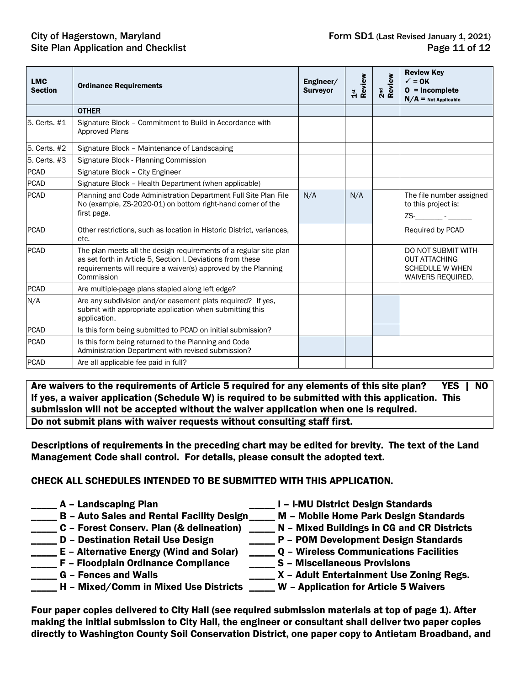| <b>LMC</b><br><b>Section</b> | <b>Ordinance Requirements</b>                                                                                                                                                                                    | Engineer/<br><b>Surveyor</b> | Review<br>$\frac{5}{11}$ | 2 <sup>nd</sup><br>Review | <b>Review Key</b><br>$\sqrt{}=$ OK<br>$0 = Incomplete$<br>$N/A =$ Not Applicable           |
|------------------------------|------------------------------------------------------------------------------------------------------------------------------------------------------------------------------------------------------------------|------------------------------|--------------------------|---------------------------|--------------------------------------------------------------------------------------------|
|                              | <b>OTHER</b>                                                                                                                                                                                                     |                              |                          |                           |                                                                                            |
| 5. Certs. #1                 | Signature Block - Commitment to Build in Accordance with<br><b>Approved Plans</b>                                                                                                                                |                              |                          |                           |                                                                                            |
| 5. Certs. #2                 | Signature Block - Maintenance of Landscaping                                                                                                                                                                     |                              |                          |                           |                                                                                            |
| 5. Certs. #3                 | Signature Block - Planning Commission                                                                                                                                                                            |                              |                          |                           |                                                                                            |
| <b>PCAD</b>                  | Signature Block - City Engineer                                                                                                                                                                                  |                              |                          |                           |                                                                                            |
| <b>PCAD</b>                  | Signature Block - Health Department (when applicable)                                                                                                                                                            |                              |                          |                           |                                                                                            |
| <b>PCAD</b>                  | Planning and Code Administration Department Full Site Plan File<br>No (example, ZS-2020-01) on bottom right-hand corner of the<br>first page.                                                                    | N/A                          | N/A                      |                           | The file number assigned<br>to this project is:<br>ZS-_________ - ______                   |
| <b>PCAD</b>                  | Other restrictions, such as location in Historic District, variances,<br>etc.                                                                                                                                    |                              |                          |                           | Required by PCAD                                                                           |
| <b>PCAD</b>                  | The plan meets all the design requirements of a regular site plan<br>as set forth in Article 5, Section I. Deviations from these<br>requirements will require a waiver(s) approved by the Planning<br>Commission |                              |                          |                           | DO NOT SUBMIT WITH-<br><b>OUT ATTACHING</b><br><b>SCHEDULE W WHEN</b><br>WAIVERS REQUIRED. |
| <b>PCAD</b>                  | Are multiple-page plans stapled along left edge?                                                                                                                                                                 |                              |                          |                           |                                                                                            |
| N/A                          | Are any subdivision and/or easement plats required? If yes,<br>submit with appropriate application when submitting this<br>application.                                                                          |                              |                          |                           |                                                                                            |
| <b>PCAD</b>                  | Is this form being submitted to PCAD on initial submission?                                                                                                                                                      |                              |                          |                           |                                                                                            |
| <b>PCAD</b>                  | Is this form being returned to the Planning and Code<br>Administration Department with revised submission?                                                                                                       |                              |                          |                           |                                                                                            |
| <b>PCAD</b>                  | Are all applicable fee paid in full?                                                                                                                                                                             |                              |                          |                           |                                                                                            |

Are waivers to the requirements of Article 5 required for any elements of this site plan? YES | NO If yes, a waiver application (Schedule W) is required to be submitted with this application. This submission will not be accepted without the waiver application when one is required. Do not submit plans with waiver requests without consulting staff first.

Descriptions of requirements in the preceding chart may be edited for brevity. The text of the Land Management Code shall control. For details, please consult the adopted text.

#### CHECK ALL SCHEDULES INTENDED TO BE SUBMITTED WITH THIS APPLICATION.

- - \_\_\_\_\_ A Landscaping Plan \_\_\_\_\_ I I-MU District Design Standards
- \_\_\_\_\_ B Auto Sales and Rental Facility Design\_\_\_\_\_ M Mobile Home Park Design Standards
- 
- \_\_\_\_\_ D Destination Retail Use Design \_\_\_\_\_ P POM Development Design Standards
- \_\_\_\_\_ E Alternative Energy (Wind and Solar) \_\_\_\_\_ Q Wireless Communications Facilities
- 
- 
- \_\_\_\_ H Mixed/Comm in Mixed Use Districts \_\_\_\_ W Application for Article 5 Waivers

Four paper copies delivered to City Hall (see required submission materials at top of page 1). After making the initial submission to City Hall, the engineer or consultant shall deliver two paper copies directly to Washington County Soil Conservation District, one paper copy to Antietam Broadband, and

- 
- 
- C Forest Conserv. Plan (& delineation) \_\_\_\_\_ N Mixed Buildings in CG and CR Districts
	-
	-
	-
	- \_\_\_\_ X Adult Entertainment Use Zoning Regs.
- \_\_\_\_\_ F Floodplain Ordinance Compliance \_\_\_\_\_ S Miscellaneous Provisions<br>\_\_\_\_\_ G Fences and Walls X Adult Entertainment Use 2
	-